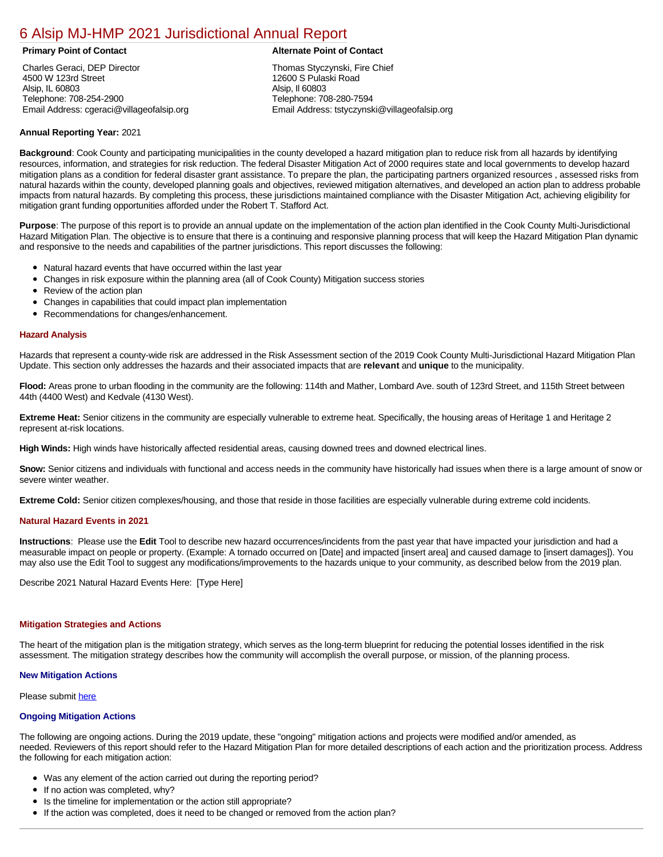# [6 Alsip MJ-HMP 2021 Jurisdictional Annual Report](https://alsip.isc-cemp.com/Cemp/Details?id=8322813)

Charles Geraci, DEP Director 4500 W 123rd Street Alsip, IL 60803 Telephone: 708-254-2900 Email Address: cgeraci@villageofalsip.org

# **Primary Point of Contact Alternate Point of Contact**

Thomas Styczynski, Fire Chief 12600 S Pulaski Road Alsip, Il 60803 Telephone: 708-280-7594 Email Address: tstyczynski@villageofalsip.org

# **Annual Reporting Year:** 2021

**Background**: Cook County and participating municipalities in the county developed a hazard mitigation plan to reduce risk from all hazards by identifying resources, information, and strategies for risk reduction. The federal Disaster Mitigation Act of 2000 requires state and local governments to develop hazard mitigation plans as a condition for federal disaster grant assistance. To prepare the plan, the participating partners organized resources , assessed risks from natural hazards within the county, developed planning goals and objectives, reviewed mitigation alternatives, and developed an action plan to address probable impacts from natural hazards. By completing this process, these jurisdictions maintained compliance with the Disaster Mitigation Act, achieving eligibility for mitigation grant funding opportunities afforded under the Robert T. Stafford Act.

**Purpose**: The purpose of this report is to provide an annual update on the implementation of the action plan identified in the Cook County Multi-Jurisdictional Hazard Mitigation Plan. The objective is to ensure that there is a continuing and responsive planning process that will keep the Hazard Mitigation Plan dynamic and responsive to the needs and capabilities of the partner jurisdictions. This report discusses the following:

- Natural hazard events that have occurred within the last year
- $\bullet$ Changes in risk exposure within the planning area (all of Cook County) Mitigation success stories
- Review of the action plan  $\bullet$
- $\bullet$ Changes in capabilities that could impact plan implementation
- Recommendations for changes/enhancement.

### **Hazard Analysis**

Hazards that represent a county-wide risk are addressed in the Risk Assessment section of the 2019 Cook County Multi-Jurisdictional Hazard Mitigation Plan Update. This section only addresses the hazards and their associated impacts that are **relevant** and **unique** to the municipality.

**Flood:** Areas prone to urban flooding in the community are the following: 114th and Mather, Lombard Ave. south of 123rd Street, and 115th Street between 44th (4400 West) and Kedvale (4130 West).

**Extreme Heat:** Senior citizens in the community are especially vulnerable to extreme heat. Specifically, the housing areas of Heritage 1 and Heritage 2 represent at-risk locations.

**High Winds:** High winds have historically affected residential areas, causing downed trees and downed electrical lines.

**Snow:** Senior citizens and individuals with functional and access needs in the community have historically had issues when there is a large amount of snow or severe winter weather.

**Extreme Cold:** Senior citizen complexes/housing, and those that reside in those facilities are especially vulnerable during extreme cold incidents.

# **Natural Hazard Events in 2021**

**Instructions**: Please use the **Edit** Tool to describe new hazard occurrences/incidents from the past year that have impacted your jurisdiction and had a measurable impact on people or property. (Example: A tornado occurred on [Date] and impacted [insert area] and caused damage to [insert damages]). You may also use the Edit Tool to suggest any modifications/improvements to the hazards unique to your community, as described below from the 2019 plan.

Describe 2021 Natural Hazard Events Here: [Type Here]

#### **Mitigation Strategies and Actions**

The heart of the mitigation plan is the mitigation strategy, which serves as the long-term blueprint for reducing the potential losses identified in the risk assessment. The mitigation strategy describes how the community will accomplish the overall purpose, or mission, of the planning process.

# **New Mitigation Actions**

Please submit [here](https://integratedsolutions.wufoo.com/forms/mg21jvf0jn639o/)

# **Ongoing Mitigation Actions**

The following are ongoing actions. During the 2019 update, these "ongoing" mitigation actions and projects were modified and/or amended, as needed. Reviewers of this report should refer to the Hazard Mitigation Plan for more detailed descriptions of each action and the prioritization process. Address the following for each mitigation action:

- Was any element of the action carried out during the reporting period?
- If no action was completed, why?
- Is the timeline for implementation or the action still appropriate?
- If the action was completed, does it need to be changed or removed from the action plan?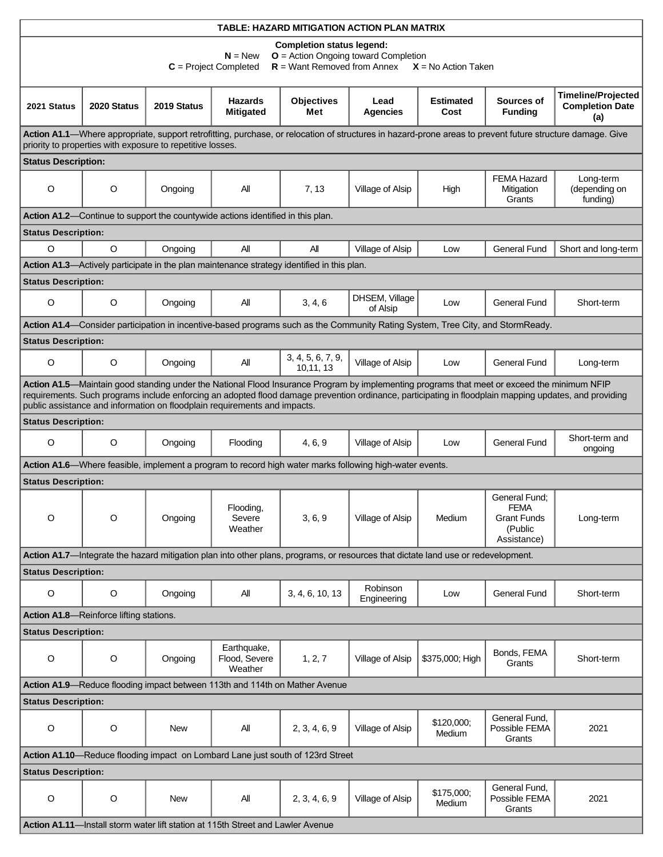| TABLE: HAZARD MITIGATION ACTION PLAN MATRIX                                                                                                                                                                                                                                                                                                                                        |                                                                                                                                                                                                                         |             |                                                                                 |                                                                                |                                                                                                                                   |                          |                                                                              |                                                            |  |  |  |  |  |  |
|------------------------------------------------------------------------------------------------------------------------------------------------------------------------------------------------------------------------------------------------------------------------------------------------------------------------------------------------------------------------------------|-------------------------------------------------------------------------------------------------------------------------------------------------------------------------------------------------------------------------|-------------|---------------------------------------------------------------------------------|--------------------------------------------------------------------------------|-----------------------------------------------------------------------------------------------------------------------------------|--------------------------|------------------------------------------------------------------------------|------------------------------------------------------------|--|--|--|--|--|--|
| <b>Completion status legend:</b><br>$O =$ Action Ongoing toward Completion<br>$N = New$<br>$R =$ Want Removed from Annex $X =$ No Action Taken<br>$C = Project Completed$                                                                                                                                                                                                          |                                                                                                                                                                                                                         |             |                                                                                 |                                                                                |                                                                                                                                   |                          |                                                                              |                                                            |  |  |  |  |  |  |
| 2021 Status                                                                                                                                                                                                                                                                                                                                                                        | 2020 Status                                                                                                                                                                                                             | 2019 Status | <b>Hazards</b><br><b>Mitigated</b>                                              | <b>Objectives</b><br>Met                                                       | Lead<br>Agencies                                                                                                                  | <b>Estimated</b><br>Cost | Sources of<br><b>Funding</b>                                                 | <b>Timeline/Projected</b><br><b>Completion Date</b><br>(a) |  |  |  |  |  |  |
|                                                                                                                                                                                                                                                                                                                                                                                    | Action A1.1—Where appropriate, support retrofitting, purchase, or relocation of structures in hazard-prone areas to prevent future structure damage. Give<br>priority to properties with exposure to repetitive losses. |             |                                                                                 |                                                                                |                                                                                                                                   |                          |                                                                              |                                                            |  |  |  |  |  |  |
| <b>Status Description:</b>                                                                                                                                                                                                                                                                                                                                                         |                                                                                                                                                                                                                         |             |                                                                                 |                                                                                |                                                                                                                                   |                          |                                                                              |                                                            |  |  |  |  |  |  |
| O                                                                                                                                                                                                                                                                                                                                                                                  | $\circ$                                                                                                                                                                                                                 | Ongoing     | All                                                                             | 7, 13                                                                          | Village of Alsip                                                                                                                  | High                     | <b>FEMA Hazard</b><br>Mitigation<br>Grants                                   | Long-term<br>(depending on<br>funding)                     |  |  |  |  |  |  |
| Action A1.2—Continue to support the countywide actions identified in this plan.                                                                                                                                                                                                                                                                                                    |                                                                                                                                                                                                                         |             |                                                                                 |                                                                                |                                                                                                                                   |                          |                                                                              |                                                            |  |  |  |  |  |  |
| <b>Status Description:</b>                                                                                                                                                                                                                                                                                                                                                         |                                                                                                                                                                                                                         |             |                                                                                 |                                                                                |                                                                                                                                   |                          |                                                                              |                                                            |  |  |  |  |  |  |
| O                                                                                                                                                                                                                                                                                                                                                                                  | $\circ$                                                                                                                                                                                                                 | Ongoing     | All                                                                             | All                                                                            | Village of Alsip                                                                                                                  | Low                      | <b>General Fund</b>                                                          | Short and long-term                                        |  |  |  |  |  |  |
| Action A1.3—Actively participate in the plan maintenance strategy identified in this plan.                                                                                                                                                                                                                                                                                         |                                                                                                                                                                                                                         |             |                                                                                 |                                                                                |                                                                                                                                   |                          |                                                                              |                                                            |  |  |  |  |  |  |
| <b>Status Description:</b>                                                                                                                                                                                                                                                                                                                                                         |                                                                                                                                                                                                                         |             |                                                                                 |                                                                                |                                                                                                                                   |                          |                                                                              |                                                            |  |  |  |  |  |  |
| $\circ$                                                                                                                                                                                                                                                                                                                                                                            | $\circ$                                                                                                                                                                                                                 | Ongoing     | All                                                                             | 3, 4, 6                                                                        | DHSEM, Village<br>of Alsip                                                                                                        | Low                      | <b>General Fund</b>                                                          | Short-term                                                 |  |  |  |  |  |  |
|                                                                                                                                                                                                                                                                                                                                                                                    |                                                                                                                                                                                                                         |             |                                                                                 |                                                                                | Action A1.4—Consider participation in incentive-based programs such as the Community Rating System, Tree City, and StormReady.    |                          |                                                                              |                                                            |  |  |  |  |  |  |
| <b>Status Description:</b>                                                                                                                                                                                                                                                                                                                                                         |                                                                                                                                                                                                                         |             |                                                                                 |                                                                                |                                                                                                                                   |                          |                                                                              |                                                            |  |  |  |  |  |  |
| O                                                                                                                                                                                                                                                                                                                                                                                  | $\circ$                                                                                                                                                                                                                 | Ongoing     | All                                                                             | 3, 4, 5, 6, 7, 9,<br>10,11, 13                                                 | Village of Alsip                                                                                                                  | Low                      | <b>General Fund</b>                                                          | Long-term                                                  |  |  |  |  |  |  |
| Action A1.5—Maintain good standing under the National Flood Insurance Program by implementing programs that meet or exceed the minimum NFIP<br>requirements. Such programs include enforcing an adopted flood damage prevention ordinance, participating in floodplain mapping updates, and providing<br>public assistance and information on floodplain requirements and impacts. |                                                                                                                                                                                                                         |             |                                                                                 |                                                                                |                                                                                                                                   |                          |                                                                              |                                                            |  |  |  |  |  |  |
| <b>Status Description:</b>                                                                                                                                                                                                                                                                                                                                                         |                                                                                                                                                                                                                         |             |                                                                                 |                                                                                |                                                                                                                                   |                          |                                                                              |                                                            |  |  |  |  |  |  |
| O                                                                                                                                                                                                                                                                                                                                                                                  | $\circ$                                                                                                                                                                                                                 | Ongoing     | Flooding                                                                        | 4, 6, 9                                                                        | Village of Alsip                                                                                                                  | Low                      | <b>General Fund</b>                                                          | Short-term and<br>ongoing                                  |  |  |  |  |  |  |
|                                                                                                                                                                                                                                                                                                                                                                                    |                                                                                                                                                                                                                         |             |                                                                                 |                                                                                | Action A1.6—Where feasible, implement a program to record high water marks following high-water events.                           |                          |                                                                              |                                                            |  |  |  |  |  |  |
| <b>Status Description:</b>                                                                                                                                                                                                                                                                                                                                                         |                                                                                                                                                                                                                         |             |                                                                                 |                                                                                |                                                                                                                                   |                          |                                                                              |                                                            |  |  |  |  |  |  |
| $\circ$                                                                                                                                                                                                                                                                                                                                                                            | O                                                                                                                                                                                                                       | Ongoing     | Flooding,<br>Severe<br>Weather                                                  | 3, 6, 9                                                                        | Village of Alsip                                                                                                                  | Medium                   | General Fund:<br><b>FEMA</b><br><b>Grant Funds</b><br>(Public<br>Assistance) | Long-term                                                  |  |  |  |  |  |  |
|                                                                                                                                                                                                                                                                                                                                                                                    |                                                                                                                                                                                                                         |             |                                                                                 |                                                                                | Action A1.7-Integrate the hazard mitigation plan into other plans, programs, or resources that dictate land use or redevelopment. |                          |                                                                              |                                                            |  |  |  |  |  |  |
| <b>Status Description:</b>                                                                                                                                                                                                                                                                                                                                                         |                                                                                                                                                                                                                         |             |                                                                                 |                                                                                |                                                                                                                                   |                          |                                                                              |                                                            |  |  |  |  |  |  |
| O                                                                                                                                                                                                                                                                                                                                                                                  | $\mathsf O$                                                                                                                                                                                                             | Ongoing     | All                                                                             | 3, 4, 6, 10, 13                                                                | Robinson<br>Engineering                                                                                                           | Low                      | <b>General Fund</b>                                                          | Short-term                                                 |  |  |  |  |  |  |
|                                                                                                                                                                                                                                                                                                                                                                                    | Action A1.8-Reinforce lifting stations.                                                                                                                                                                                 |             |                                                                                 |                                                                                |                                                                                                                                   |                          |                                                                              |                                                            |  |  |  |  |  |  |
| <b>Status Description:</b>                                                                                                                                                                                                                                                                                                                                                         |                                                                                                                                                                                                                         |             |                                                                                 |                                                                                |                                                                                                                                   |                          |                                                                              |                                                            |  |  |  |  |  |  |
| $\mathsf O$                                                                                                                                                                                                                                                                                                                                                                        | O                                                                                                                                                                                                                       | Ongoing     | Earthquake,<br>Flood, Severe<br>Weather                                         | 1, 2, 7                                                                        | Village of Alsip                                                                                                                  | \$375,000; High          | Bonds, FEMA<br>Grants                                                        | Short-term                                                 |  |  |  |  |  |  |
|                                                                                                                                                                                                                                                                                                                                                                                    |                                                                                                                                                                                                                         |             |                                                                                 | Action A1.9-Reduce flooding impact between 113th and 114th on Mather Avenue    |                                                                                                                                   |                          |                                                                              |                                                            |  |  |  |  |  |  |
| <b>Status Description:</b>                                                                                                                                                                                                                                                                                                                                                         |                                                                                                                                                                                                                         |             |                                                                                 |                                                                                |                                                                                                                                   |                          |                                                                              |                                                            |  |  |  |  |  |  |
| O                                                                                                                                                                                                                                                                                                                                                                                  | $\circ$                                                                                                                                                                                                                 | New         | All                                                                             | 2, 3, 4, 6, 9                                                                  | Village of Alsip                                                                                                                  | \$120,000;<br>Medium     | General Fund,<br>Possible FEMA<br>Grants                                     | 2021                                                       |  |  |  |  |  |  |
|                                                                                                                                                                                                                                                                                                                                                                                    |                                                                                                                                                                                                                         |             |                                                                                 | Action A1.10-Reduce flooding impact on Lombard Lane just south of 123rd Street |                                                                                                                                   |                          |                                                                              |                                                            |  |  |  |  |  |  |
| <b>Status Description:</b>                                                                                                                                                                                                                                                                                                                                                         |                                                                                                                                                                                                                         |             |                                                                                 |                                                                                |                                                                                                                                   |                          |                                                                              |                                                            |  |  |  |  |  |  |
| O                                                                                                                                                                                                                                                                                                                                                                                  | $\mathsf O$                                                                                                                                                                                                             | New         | All                                                                             | 2, 3, 4, 6, 9                                                                  | Village of Alsip                                                                                                                  | \$175,000;<br>Medium     | General Fund,<br>Possible FEMA<br>Grants                                     | 2021                                                       |  |  |  |  |  |  |
|                                                                                                                                                                                                                                                                                                                                                                                    |                                                                                                                                                                                                                         |             | Action A1.11-Install storm water lift station at 115th Street and Lawler Avenue |                                                                                |                                                                                                                                   |                          |                                                                              |                                                            |  |  |  |  |  |  |